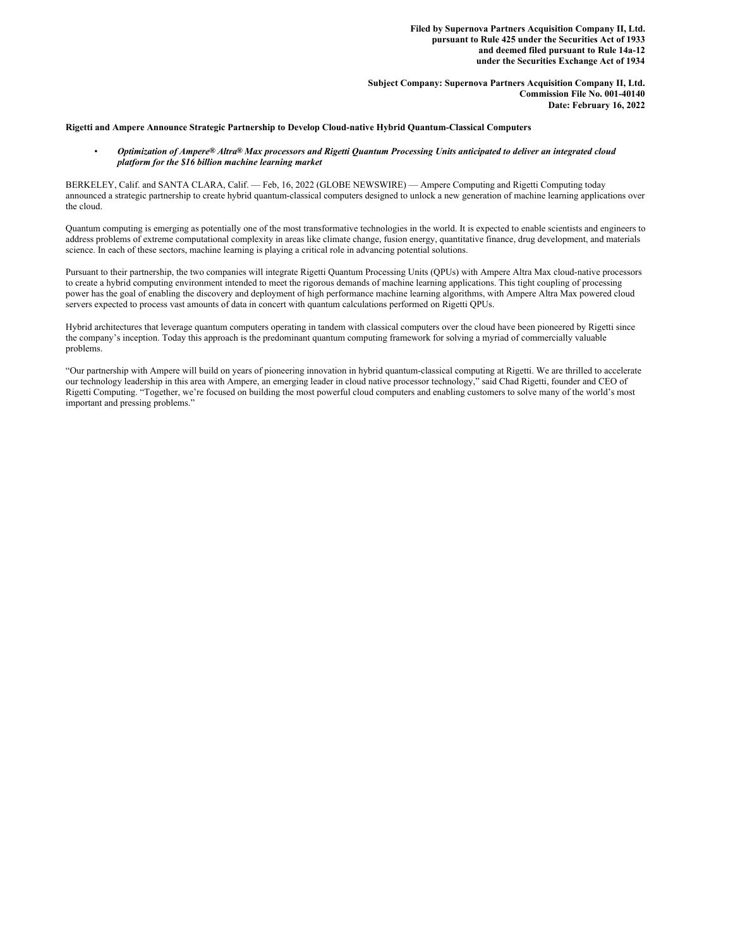**Filed by Supernova Partners Acquisition Company II, Ltd. pursuant to Rule 425 under the Securities Act of 1933 and deemed filed pursuant to Rule 14a-12 under the Securities Exchange Act of 1934**

**Subject Company: Supernova Partners Acquisition Company II, Ltd. Commission File No. 001-40140 Date: February 16, 2022**

## **Rigetti and Ampere Announce Strategic Partnership to Develop Cloud-native Hybrid Quantum-Classical Computers**

# Optimization of Ampere® Altra® Max processors and Rigetti Quantum Processing Units anticipated to deliver an integrated cloud *platform for the \$16 billion machine learning market*

BERKELEY, Calif. and SANTA CLARA, Calif. — Feb, 16, 2022 (GLOBE NEWSWIRE) — Ampere Computing and Rigetti Computing today announced a strategic partnership to create hybrid quantum-classical computers designed to unlock a new generation of machine learning applications over the cloud.

Quantum computing is emerging as potentially one of the most transformative technologies in the world. It is expected to enable scientists and engineers to address problems of extreme computational complexity in areas like climate change, fusion energy, quantitative finance, drug development, and materials science. In each of these sectors, machine learning is playing a critical role in advancing potential solutions.

Pursuant to their partnership, the two companies will integrate Rigetti Quantum Processing Units (QPUs) with Ampere Altra Max cloud-native processors to create a hybrid computing environment intended to meet the rigorous demands of machine learning applications. This tight coupling of processing power has the goal of enabling the discovery and deployment of high performance machine learning algorithms, with Ampere Altra Max powered cloud servers expected to process vast amounts of data in concert with quantum calculations performed on Rigetti QPUs.

Hybrid architectures that leverage quantum computers operating in tandem with classical computers over the cloud have been pioneered by Rigetti since the company's inception. Today this approach is the predominant quantum computing framework for solving a myriad of commercially valuable problems.

"Our partnership with Ampere will build on years of pioneering innovation in hybrid quantum-classical computing at Rigetti. We are thrilled to accelerate our technology leadership in this area with Ampere, an emerging leader in cloud native processor technology," said Chad Rigetti, founder and CEO of Rigetti Computing. "Together, we're focused on building the most powerful cloud computers and enabling customers to solve many of the world's most important and pressing problems."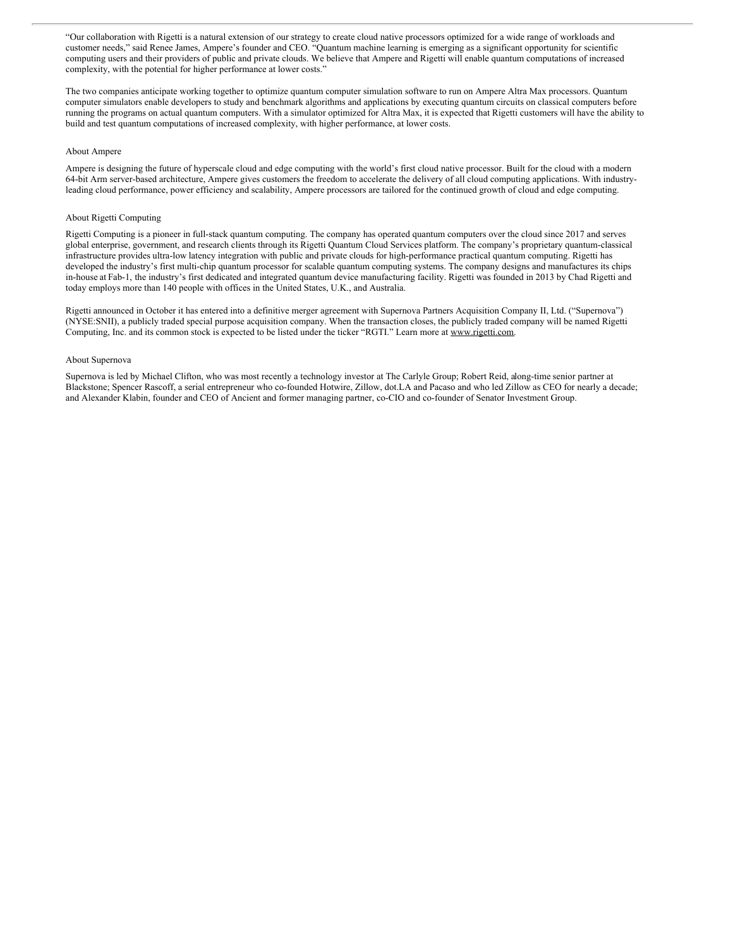"Our collaboration with Rigetti is a natural extension of our strategy to create cloud native processors optimized for a wide range of workloads and customer needs," said Renee James, Ampere's founder and CEO. "Quantum machine learning is emerging as a significant opportunity for scientific computing users and their providers of public and private clouds. We believe that Ampere and Rigetti will enable quantum computations of increased complexity, with the potential for higher performance at lower costs."

The two companies anticipate working together to optimize quantum computer simulation software to run on Ampere Altra Max processors. Quantum computer simulators enable developers to study and benchmark algorithms and applications by executing quantum circuits on classical computers before running the programs on actual quantum computers. With a simulator optimized for Altra Max, it is expected that Rigetti customers will have the ability to build and test quantum computations of increased complexity, with higher performance, at lower costs.

#### About Ampere

Ampere is designing the future of hyperscale cloud and edge computing with the world's first cloud native processor. Built for the cloud with a modern 64-bit Arm server-based architecture, Ampere gives customers the freedom to accelerate the delivery of all cloud computing applications. With industryleading cloud performance, power efficiency and scalability, Ampere processors are tailored for the continued growth of cloud and edge computing.

# About Rigetti Computing

Rigetti Computing is a pioneer in full-stack quantum computing. The company has operated quantum computers over the cloud since 2017 and serves global enterprise, government, and research clients through its Rigetti Quantum Cloud Services platform. The company's proprietary quantum-classical infrastructure provides ultra-low latency integration with public and private clouds for high-performance practical quantum computing. Rigetti has developed the industry's first multi-chip quantum processor for scalable quantum computing systems. The company designs and manufactures its chips in-house at Fab-1, the industry's first dedicated and integrated quantum device manufacturing facility. Rigetti was founded in 2013 by Chad Rigetti and today employs more than 140 people with offices in the United States, U.K., and Australia.

Rigetti announced in October it has entered into a definitive merger agreement with Supernova Partners Acquisition Company II, Ltd. ("Supernova") (NYSE:SNII), a publicly traded special purpose acquisition company. When the transaction closes, the publicly traded company will be named Rigetti Computing, Inc. and its common stock is expected to be listed under the ticker "RGTI." Learn more at www.rigetti.com.

#### About Supernova

Supernova is led by Michael Clifton, who was most recently a technology investor at The Carlyle Group; Robert Reid, along-time senior partner at Blackstone; Spencer Rascoff, a serial entrepreneur who co-founded Hotwire, Zillow, dot.LA and Pacaso and who led Zillow as CEO for nearly a decade; and Alexander Klabin, founder and CEO of Ancient and former managing partner, co-CIO and co-founder of Senator Investment Group.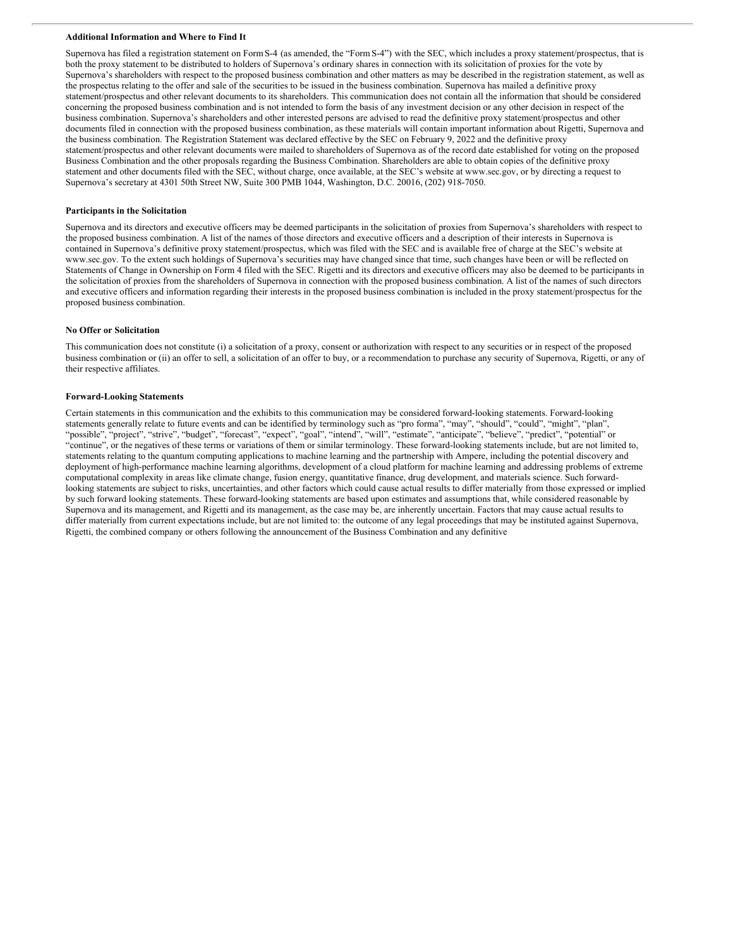### **Additional Information and Where to Find It**

Supernova has filed a registration statement on FormS-4 (as amended, the "FormS-4") with the SEC, which includes a proxy statement/prospectus, that is both the proxy statement to be distributed to holders of Supernova's ordinary shares in connection with its solicitation of proxies for the vote by Supernova's shareholders with respect to the proposed business combination and other matters as may be described in the registration statement, as well as the prospectus relating to the offer and sale of the securities to be issued in the business combination. Supernova has mailed a definitive proxy statement/prospectus and other relevant documents to its shareholders. This communication does not contain all the information that should be considered concerning the proposed business combination and is not intended to form the basis of any investment decision or any other decision in respect of the business combination. Supernova's shareholders and other interested persons are advised to read the definitive proxy statement/prospectus and other documents filed in connection with the proposed business combination, as these materials will contain important information about Rigetti, Supernova and the business combination. The Registration Statement was declared effective by the SEC on February 9, 2022 and the definitive proxy statement/prospectus and other relevant documents were mailed to shareholders of Supernova as of the record date established for voting on the proposed Business Combination and the other proposals regarding the Business Combination. Shareholders are able to obtain copies of the definitive proxy statement and other documents filed with the SEC, without charge, once available, at the SEC's website at www.sec.gov, or by directing a request to Supernova's secretary at 4301 50th Street NW, Suite 300 PMB 1044, Washington, D.C. 20016, (202) 918-7050.

#### **Participants in the Solicitation**

Supernova and its directors and executive officers may be deemed participants in the solicitation of proxies from Supernova's shareholders with respect to the proposed business combination. A list of the names of those directors and executive officers and a description of their interests in Supernova is contained in Supernova's definitive proxy statement/prospectus, which was filed with the SEC and is available free of charge at the SEC's website at www.sec.gov. To the extent such holdings of Supernova's securities may have changed since that time, such changes have been or will be reflected on Statements of Change in Ownership on Form 4 filed with the SEC. Rigetti and its directors and executive officers may also be deemed to be participants in the solicitation of proxies from the shareholders of Supernova in connection with the proposed business combination. A list of the names of such directors and executive officers and information regarding their interests in the proposed business combination is included in the proxy statement/prospectus for the proposed business combination.

### **No Offer or Solicitation**

This communication does not constitute (i) a solicitation of a proxy, consent or authorization with respect to any securities or in respect of the proposed business combination or (ii) an offer to sell, a solicitation of an offer to buy, or a recommendation to purchase any security of Supernova, Rigetti, or any of their respective affiliates.

### **Forward-Looking Statements**

Certain statements in this communication and the exhibits to this communication may be considered forward-looking statements. Forward-looking statements generally relate to future events and can be identified by terminology such as "pro forma", "may", "should", "could", "might", "plan", "possible", "project", "strive", "budget", "forecast", "expect", "goal", "intend", "will", "estimate", "anticipate", "believe", "predict", "potential" or "continue", or the negatives of these terms or variations of them or similar terminology. These forward-looking statements include, but are not limited to, statements relating to the quantum computing applications to machine learning and the partnership with Ampere, including the potential discovery and deployment of high-performance machine learning algorithms, development of a cloud platform for machine learning and addressing problems of extreme computational complexity in areas like climate change, fusion energy, quantitative finance, drug development, and materials science. Such forwardlooking statements are subject to risks, uncertainties, and other factors which could cause actual results to differ materially from those expressed or implied by such forward looking statements. These forward-looking statements are based upon estimates and assumptions that, while considered reasonable by Supernova and its management, and Rigetti and its management, as the case may be, are inherently uncertain. Factors that may cause actual results to differ materially from current expectations include, but are not limited to: the outcome of any legal proceedings that may be instituted against Supernova, Rigetti, the combined company or others following the announcement of the Business Combination and any definitive